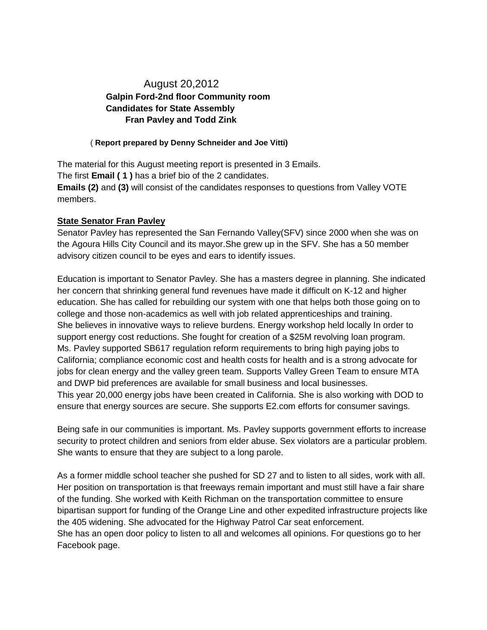## August 20,2012  **Galpin Ford-2nd floor Community room Candidates for State Assembly Fran Pavley and Todd Zink**

## ( **Report prepared by Denny Schneider and Joe Vitti)**

The material for this August meeting report is presented in 3 Emails. The first **Email ( 1 )** has a brief bio of the 2 candidates. **Emails (2)** and **(3)** will consist of the candidates responses to questions from Valley VOTE members.

## **State Senator Fran Pavley**

Senator Pavley has represented the San Fernando Valley(SFV) since 2000 when she was on the Agoura Hills City Council and its mayor.She grew up in the SFV. She has a 50 member advisory citizen council to be eyes and ears to identify issues.

Education is important to Senator Pavley. She has a masters degree in planning. She indicated her concern that shrinking general fund revenues have made it difficult on K-12 and higher education. She has called for rebuilding our system with one that helps both those going on to college and those non-academics as well with job related apprenticeships and training. She believes in innovative ways to relieve burdens. Energy workshop held locally In order to support energy cost reductions. She fought for creation of a \$25M revolving loan program. Ms. Pavley supported SB617 regulation reform requirements to bring high paying jobs to California; compliance economic cost and health costs for health and is a strong advocate for jobs for clean energy and the valley green team. Supports Valley Green Team to ensure MTA and DWP bid preferences are available for small business and local businesses. This year 20,000 energy jobs have been created in California. She is also working with DOD to ensure that energy sources are secure. She supports E2.com efforts for consumer savings.

Being safe in our communities is important. Ms. Pavley supports government efforts to increase security to protect children and seniors from elder abuse. Sex violators are a particular problem. She wants to ensure that they are subject to a long parole.

As a former middle school teacher she pushed for SD 27 and to listen to all sides, work with all. Her position on transportation is that freeways remain important and must still have a fair share of the funding. She worked with Keith Richman on the transportation committee to ensure bipartisan support for funding of the Orange Line and other expedited infrastructure projects like the 405 widening. She advocated for the Highway Patrol Car seat enforcement. She has an open door policy to listen to all and welcomes all opinions. For questions go to her Facebook page.